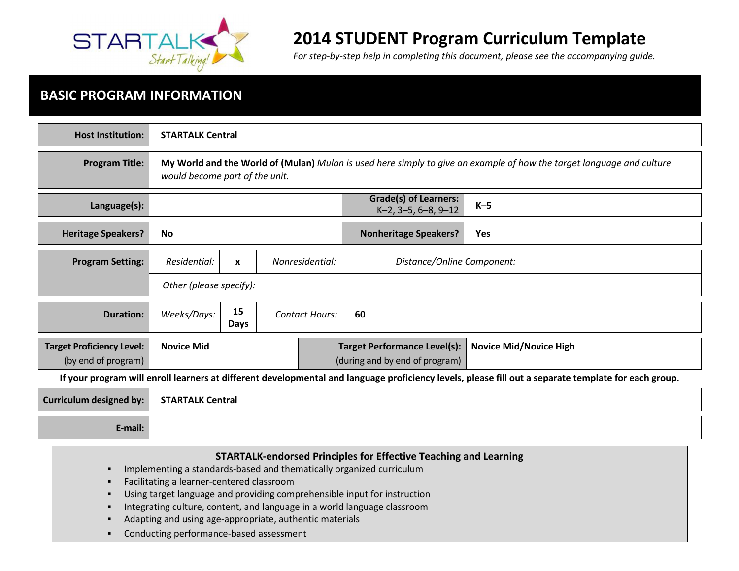

# 2014 STUDENT Program Curriculum Template

For step-by-step help in completing this document, please see the accompanying guide.

# BASIC PROGRAM INFORMATION

| <b>Host Institution:</b>                                                                                                                             | <b>STARTALK Central</b>                                                                                                                                 |                         |  |                       |    |                                                        |                               |  |
|------------------------------------------------------------------------------------------------------------------------------------------------------|---------------------------------------------------------------------------------------------------------------------------------------------------------|-------------------------|--|-----------------------|----|--------------------------------------------------------|-------------------------------|--|
| <b>Program Title:</b>                                                                                                                                | My World and the World of (Mulan) Mulan is used here simply to give an example of how the target language and culture<br>would become part of the unit. |                         |  |                       |    |                                                        |                               |  |
| Language(s):                                                                                                                                         |                                                                                                                                                         |                         |  |                       |    | <b>Grade(s) of Learners:</b><br>$K-2$ , 3-5, 6-8, 9-12 | $K-5$                         |  |
| <b>Heritage Speakers?</b>                                                                                                                            | <b>No</b>                                                                                                                                               |                         |  |                       |    | <b>Nonheritage Speakers?</b>                           | <b>Yes</b>                    |  |
| <b>Program Setting:</b>                                                                                                                              | Residential:                                                                                                                                            | X                       |  | Nonresidential:       |    | Distance/Online Component:                             |                               |  |
|                                                                                                                                                      |                                                                                                                                                         | Other (please specify): |  |                       |    |                                                        |                               |  |
| <b>Duration:</b>                                                                                                                                     | Weeks/Days:                                                                                                                                             | 15<br>Days              |  | <b>Contact Hours:</b> | 60 |                                                        |                               |  |
| <b>Target Proficiency Level:</b>                                                                                                                     | <b>Novice Mid</b>                                                                                                                                       |                         |  |                       |    | <b>Target Performance Level(s):</b>                    | <b>Novice Mid/Novice High</b> |  |
| (by end of program)                                                                                                                                  |                                                                                                                                                         |                         |  |                       |    | (during and by end of program)                         |                               |  |
| If your program will enroll learners at different developmental and language proficiency levels, please fill out a separate template for each group. |                                                                                                                                                         |                         |  |                       |    |                                                        |                               |  |
| <b>Curriculum designed by:</b>                                                                                                                       | <b>STARTALK Central</b>                                                                                                                                 |                         |  |                       |    |                                                        |                               |  |
| E-mail:                                                                                                                                              |                                                                                                                                                         |                         |  |                       |    |                                                        |                               |  |

| <b>STARTALK-endorsed Principles for Effective Teaching and Learning</b>                    |
|--------------------------------------------------------------------------------------------|
| Implementing a standards-based and thematically organized curriculum                       |
| Facilitating a learner-centered classroom<br>п                                             |
| Using target language and providing comprehensible input for instruction<br>$\blacksquare$ |
| Integrating culture, content, and language in a world language classroom<br>$\blacksquare$ |
| Adapting and using age-appropriate, authentic materials<br>$\blacksquare$                  |
| Conducting performance-based assessment                                                    |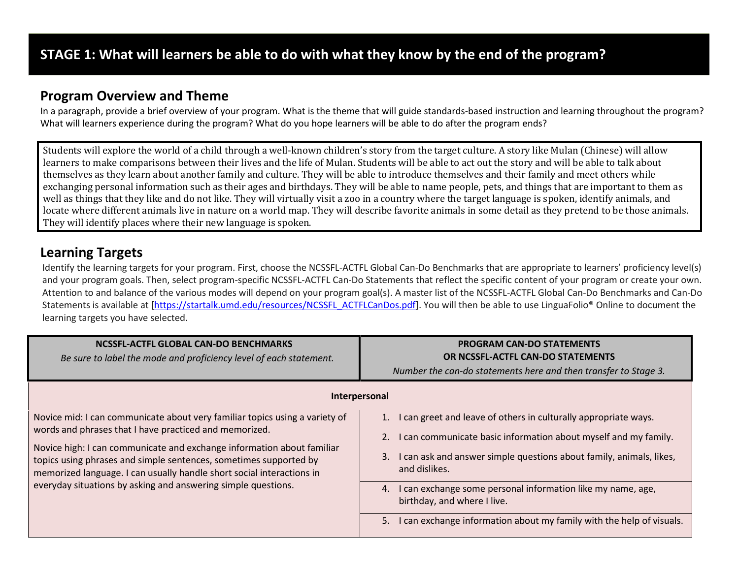# Program Overview and Theme

In a paragraph, provide a brief overview of your program. What is the theme that will guide standards-based instruction and learning throughout the program? What will learners experience during the program? What do you hope learners will be able to do after the program ends?

Students will explore the world of a child through a well-known children's story from the target culture. A story like Mulan (Chinese) will allow learners to make comparisons between their lives and the life of Mulan. Students will be able to act out the story and will be able to talk about themselves as they learn about another family and culture. They will be able to introduce themselves and their family and meet others while exchanging personal information such as their ages and birthdays. They will be able to name people, pets, and things that are important to them as well as things that they like and do not like. They will virtually visit a zoo in a country where the target language is spoken, identify animals, and locate where different animals live in nature on a world map. They will describe favorite animals in some detail as they pretend to be those animals. They will identify places where their new language is spoken.

## Learning Targets

Identify the learning targets for your program. First, choose the NCSSFL-ACTFL Global Can-Do Benchmarks that are appropriate to learners' proficiency level(s) and your program goals. Then, select program-specific NCSSFL-ACTFL Can-Do Statements that reflect the specific content of your program or create your own. Attention to and balance of the various modes will depend on your program goal(s). A master list of the NCSSFL-ACTFL Global Can-Do Benchmarks and Can-Do Statements is available at [https://startalk.umd.edu/resources/NCSSFL\_ACTFLCanDos.pdf]. You will then be able to use LinguaFolio® Online to document the learning targets you have selected.

| NCSSFL-ACTFL GLOBAL CAN-DO BENCHMARKS<br>Be sure to label the mode and proficiency level of each statement.                                                                                                                                                                                                                                                                                                                    | <b>PROGRAM CAN-DO STATEMENTS</b><br>OR NCSSFL-ACTFL CAN-DO STATEMENTS<br>Number the can-do statements here and then transfer to Stage 3.                                                                                                                                                                                                                                                                           |
|--------------------------------------------------------------------------------------------------------------------------------------------------------------------------------------------------------------------------------------------------------------------------------------------------------------------------------------------------------------------------------------------------------------------------------|--------------------------------------------------------------------------------------------------------------------------------------------------------------------------------------------------------------------------------------------------------------------------------------------------------------------------------------------------------------------------------------------------------------------|
|                                                                                                                                                                                                                                                                                                                                                                                                                                | Interpersonal                                                                                                                                                                                                                                                                                                                                                                                                      |
| Novice mid: I can communicate about very familiar topics using a variety of<br>words and phrases that I have practiced and memorized.<br>Novice high: I can communicate and exchange information about familiar<br>topics using phrases and simple sentences, sometimes supported by<br>memorized language. I can usually handle short social interactions in<br>everyday situations by asking and answering simple questions. | I can greet and leave of others in culturally appropriate ways.<br>I can communicate basic information about myself and my family.<br>I can ask and answer simple questions about family, animals, likes,<br>3.<br>and dislikes.<br>I can exchange some personal information like my name, age,<br>4.<br>birthday, and where I live.<br>I can exchange information about my family with the help of visuals.<br>5. |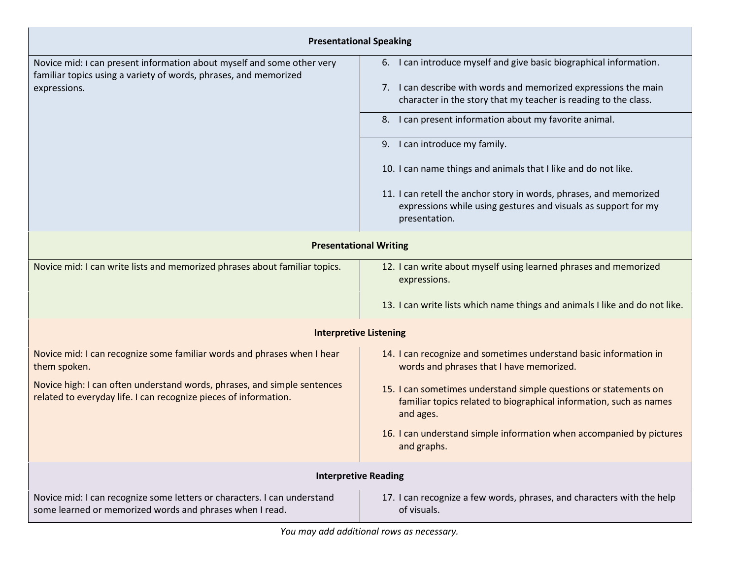| <b>Presentational Speaking</b>                                                                                                               |                                                                                                                                                                                                                                                                                                                    |  |  |  |
|----------------------------------------------------------------------------------------------------------------------------------------------|--------------------------------------------------------------------------------------------------------------------------------------------------------------------------------------------------------------------------------------------------------------------------------------------------------------------|--|--|--|
| Novice mid: I can present information about myself and some other very<br>familiar topics using a variety of words, phrases, and memorized   | 6. I can introduce myself and give basic biographical information.                                                                                                                                                                                                                                                 |  |  |  |
| expressions.                                                                                                                                 | 7. I can describe with words and memorized expressions the main<br>character in the story that my teacher is reading to the class.                                                                                                                                                                                 |  |  |  |
|                                                                                                                                              | 8. I can present information about my favorite animal.<br>9. I can introduce my family.<br>10. I can name things and animals that I like and do not like.<br>11. I can retell the anchor story in words, phrases, and memorized<br>expressions while using gestures and visuals as support for my<br>presentation. |  |  |  |
|                                                                                                                                              |                                                                                                                                                                                                                                                                                                                    |  |  |  |
|                                                                                                                                              |                                                                                                                                                                                                                                                                                                                    |  |  |  |
|                                                                                                                                              |                                                                                                                                                                                                                                                                                                                    |  |  |  |
| <b>Presentational Writing</b>                                                                                                                |                                                                                                                                                                                                                                                                                                                    |  |  |  |
| Novice mid: I can write lists and memorized phrases about familiar topics.                                                                   | 12. I can write about myself using learned phrases and memorized<br>expressions.                                                                                                                                                                                                                                   |  |  |  |
|                                                                                                                                              | 13. I can write lists which name things and animals I like and do not like.                                                                                                                                                                                                                                        |  |  |  |
|                                                                                                                                              | <b>Interpretive Listening</b>                                                                                                                                                                                                                                                                                      |  |  |  |
| Novice mid: I can recognize some familiar words and phrases when I hear<br>them spoken.                                                      | 14. I can recognize and sometimes understand basic information in<br>words and phrases that I have memorized.                                                                                                                                                                                                      |  |  |  |
| Novice high: I can often understand words, phrases, and simple sentences<br>related to everyday life. I can recognize pieces of information. | 15. I can sometimes understand simple questions or statements on<br>familiar topics related to biographical information, such as names<br>and ages.                                                                                                                                                                |  |  |  |
|                                                                                                                                              | 16. I can understand simple information when accompanied by pictures<br>and graphs.                                                                                                                                                                                                                                |  |  |  |
|                                                                                                                                              | <b>Interpretive Reading</b>                                                                                                                                                                                                                                                                                        |  |  |  |
| Novice mid: I can recognize some letters or characters. I can understand<br>some learned or memorized words and phrases when I read.         | 17. I can recognize a few words, phrases, and characters with the help<br>of visuals.                                                                                                                                                                                                                              |  |  |  |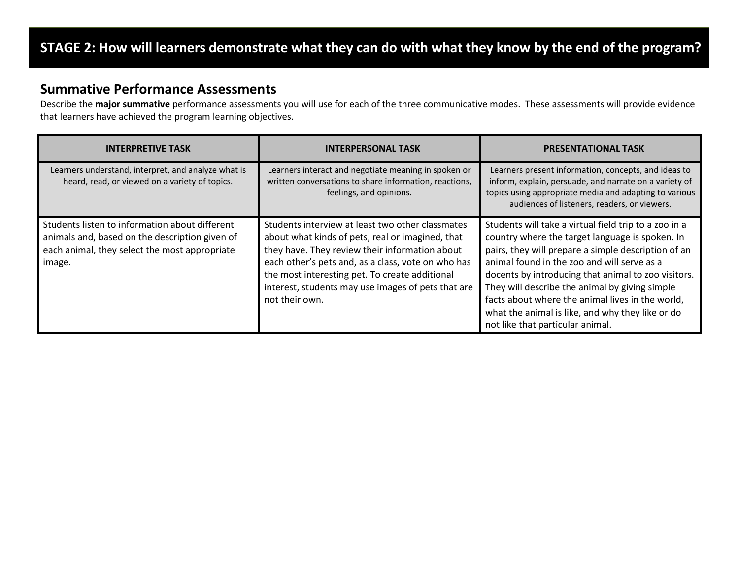# STAGE 2: How will learners demonstrate what they can do with what they know by the end of the program?

### Summative Performance Assessments

Describe the major summative performance assessments you will use for each of the three communicative modes. These assessments will provide evidence that learners have achieved the program learning objectives.

| <b>INTERPRETIVE TASK</b>                                                                                                                                    | <b>INTERPERSONAL TASK</b>                                                                                                                                                                                                                                                                                                              | <b>PRESENTATIONAL TASK</b>                                                                                                                                                                                                                                                                                                                                                                                                                                          |
|-------------------------------------------------------------------------------------------------------------------------------------------------------------|----------------------------------------------------------------------------------------------------------------------------------------------------------------------------------------------------------------------------------------------------------------------------------------------------------------------------------------|---------------------------------------------------------------------------------------------------------------------------------------------------------------------------------------------------------------------------------------------------------------------------------------------------------------------------------------------------------------------------------------------------------------------------------------------------------------------|
| Learners understand, interpret, and analyze what is<br>heard, read, or viewed on a variety of topics.                                                       | Learners interact and negotiate meaning in spoken or<br>written conversations to share information, reactions,<br>feelings, and opinions.                                                                                                                                                                                              | Learners present information, concepts, and ideas to<br>inform, explain, persuade, and narrate on a variety of<br>topics using appropriate media and adapting to various<br>audiences of listeners, readers, or viewers.                                                                                                                                                                                                                                            |
| Students listen to information about different<br>animals and, based on the description given of<br>each animal, they select the most appropriate<br>image. | Students interview at least two other classmates<br>about what kinds of pets, real or imagined, that<br>they have. They review their information about<br>each other's pets and, as a class, vote on who has<br>the most interesting pet. To create additional<br>interest, students may use images of pets that are<br>not their own. | Students will take a virtual field trip to a zoo in a<br>country where the target language is spoken. In<br>pairs, they will prepare a simple description of an<br>animal found in the zoo and will serve as a<br>docents by introducing that animal to zoo visitors.<br>They will describe the animal by giving simple<br>facts about where the animal lives in the world,<br>what the animal is like, and why they like or do<br>not like that particular animal. |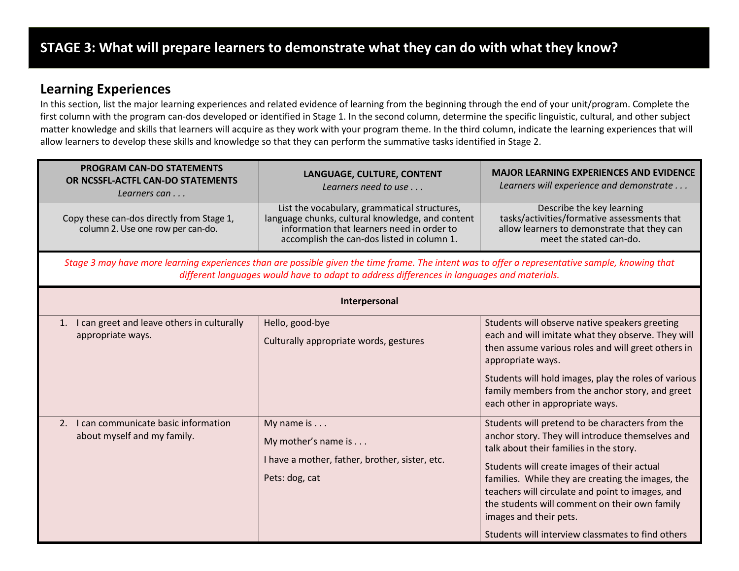### Learning Experiences

In this section, list the major learning experiences and related evidence of learning from the beginning through the end of your unit/program. Complete the first column with the program can-dos developed or identified in Stage 1. In the second column, determine the specific linguistic, cultural, and other subject matter knowledge and skills that learners will acquire as they work with your program theme. In the third column, indicate the learning experiences that will allow learners to develop these skills and knowledge so that they can perform the summative tasks identified in Stage 2.

| <b>PROGRAM CAN-DO STATEMENTS</b><br>OR NCSSFL-ACTFL CAN-DO STATEMENTS<br>Learners can | LANGUAGE, CULTURE, CONTENT<br>Learners need to use                                                                                                                                                                                             | <b>MAJOR LEARNING EXPERIENCES AND EVIDENCE</b><br>Learners will experience and demonstrate                                                                                                                                                                                                                                                                                                                                             |
|---------------------------------------------------------------------------------------|------------------------------------------------------------------------------------------------------------------------------------------------------------------------------------------------------------------------------------------------|----------------------------------------------------------------------------------------------------------------------------------------------------------------------------------------------------------------------------------------------------------------------------------------------------------------------------------------------------------------------------------------------------------------------------------------|
| Copy these can-dos directly from Stage 1,<br>column 2. Use one row per can-do.        | List the vocabulary, grammatical structures,<br>language chunks, cultural knowledge, and content<br>information that learners need in order to<br>accomplish the can-dos listed in column 1.                                                   | Describe the key learning<br>tasks/activities/formative assessments that<br>allow learners to demonstrate that they can<br>meet the stated can-do.                                                                                                                                                                                                                                                                                     |
|                                                                                       | Stage 3 may have more learning experiences than are possible given the time frame. The intent was to offer a representative sample, knowing that<br>different languages would have to adapt to address differences in languages and materials. |                                                                                                                                                                                                                                                                                                                                                                                                                                        |
|                                                                                       | Interpersonal                                                                                                                                                                                                                                  |                                                                                                                                                                                                                                                                                                                                                                                                                                        |
| 1. I can greet and leave others in culturally<br>appropriate ways.                    | Hello, good-bye<br>Culturally appropriate words, gestures                                                                                                                                                                                      | Students will observe native speakers greeting<br>each and will imitate what they observe. They will<br>then assume various roles and will greet others in<br>appropriate ways.<br>Students will hold images, play the roles of various<br>family members from the anchor story, and greet<br>each other in appropriate ways.                                                                                                          |
| 2. I can communicate basic information<br>about myself and my family.                 | My name is<br>My mother's name is<br>I have a mother, father, brother, sister, etc.<br>Pets: dog, cat                                                                                                                                          | Students will pretend to be characters from the<br>anchor story. They will introduce themselves and<br>talk about their families in the story.<br>Students will create images of their actual<br>families. While they are creating the images, the<br>teachers will circulate and point to images, and<br>the students will comment on their own family<br>images and their pets.<br>Students will interview classmates to find others |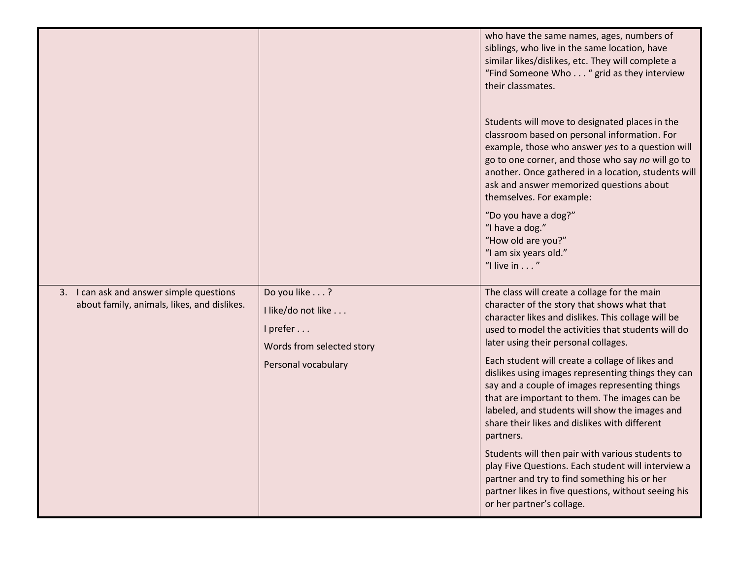|                                                                                         |                                                                                                    | who have the same names, ages, numbers of<br>siblings, who live in the same location, have<br>similar likes/dislikes, etc. They will complete a<br>"Find Someone Who " grid as they interview<br>their classmates.<br>Students will move to designated places in the<br>classroom based on personal information. For<br>example, those who answer yes to a question will<br>go to one corner, and those who say no will go to<br>another. Once gathered in a location, students will<br>ask and answer memorized questions about<br>themselves. For example:<br>"Do you have a dog?"<br>"I have a dog."<br>"How old are you?"<br>"I am six years old."<br>"I live in $\dots$ "                                                                                                                                            |
|-----------------------------------------------------------------------------------------|----------------------------------------------------------------------------------------------------|---------------------------------------------------------------------------------------------------------------------------------------------------------------------------------------------------------------------------------------------------------------------------------------------------------------------------------------------------------------------------------------------------------------------------------------------------------------------------------------------------------------------------------------------------------------------------------------------------------------------------------------------------------------------------------------------------------------------------------------------------------------------------------------------------------------------------|
| 3. I can ask and answer simple questions<br>about family, animals, likes, and dislikes. | Do you like?<br>I like/do not like<br>I prefer<br>Words from selected story<br>Personal vocabulary | The class will create a collage for the main<br>character of the story that shows what that<br>character likes and dislikes. This collage will be<br>used to model the activities that students will do<br>later using their personal collages.<br>Each student will create a collage of likes and<br>dislikes using images representing things they can<br>say and a couple of images representing things<br>that are important to them. The images can be<br>labeled, and students will show the images and<br>share their likes and dislikes with different<br>partners.<br>Students will then pair with various students to<br>play Five Questions. Each student will interview a<br>partner and try to find something his or her<br>partner likes in five questions, without seeing his<br>or her partner's collage. |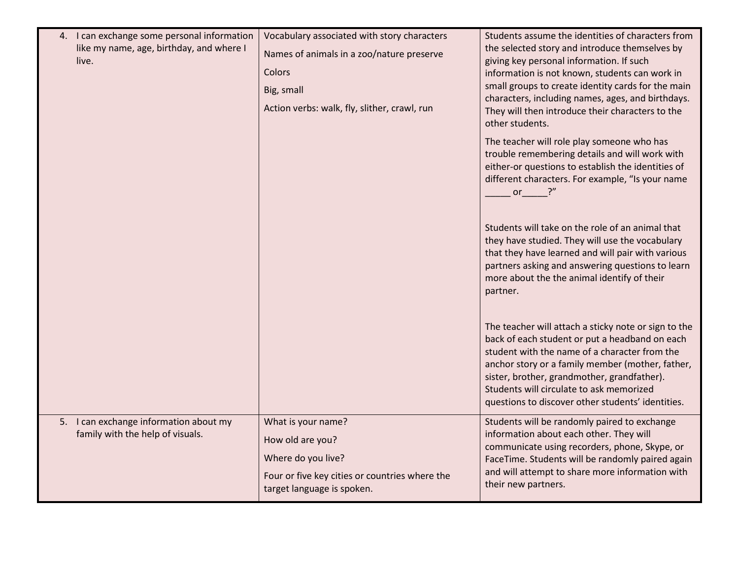| 4. I can exchange some personal information<br>like my name, age, birthday, and where I<br>live. | Vocabulary associated with story characters<br>Names of animals in a zoo/nature preserve<br>Colors<br>Big, small<br>Action verbs: walk, fly, slither, crawl, run | Students assume the identities of characters from<br>the selected story and introduce themselves by<br>giving key personal information. If such<br>information is not known, students can work in<br>small groups to create identity cards for the main<br>characters, including names, ages, and birthdays.<br>They will then introduce their characters to the<br>other students. |
|--------------------------------------------------------------------------------------------------|------------------------------------------------------------------------------------------------------------------------------------------------------------------|-------------------------------------------------------------------------------------------------------------------------------------------------------------------------------------------------------------------------------------------------------------------------------------------------------------------------------------------------------------------------------------|
|                                                                                                  |                                                                                                                                                                  | The teacher will role play someone who has<br>trouble remembering details and will work with<br>either-or questions to establish the identities of<br>different characters. For example, "Is your name<br>or                                                                                                                                                                        |
|                                                                                                  |                                                                                                                                                                  | Students will take on the role of an animal that<br>they have studied. They will use the vocabulary<br>that they have learned and will pair with various<br>partners asking and answering questions to learn<br>more about the the animal identify of their<br>partner.                                                                                                             |
|                                                                                                  |                                                                                                                                                                  | The teacher will attach a sticky note or sign to the<br>back of each student or put a headband on each<br>student with the name of a character from the<br>anchor story or a family member (mother, father,<br>sister, brother, grandmother, grandfather).<br>Students will circulate to ask memorized<br>questions to discover other students' identities.                         |
| 5. I can exchange information about my<br>family with the help of visuals.                       | What is your name?<br>How old are you?<br>Where do you live?<br>Four or five key cities or countries where the<br>target language is spoken.                     | Students will be randomly paired to exchange<br>information about each other. They will<br>communicate using recorders, phone, Skype, or<br>FaceTime. Students will be randomly paired again<br>and will attempt to share more information with<br>their new partners.                                                                                                              |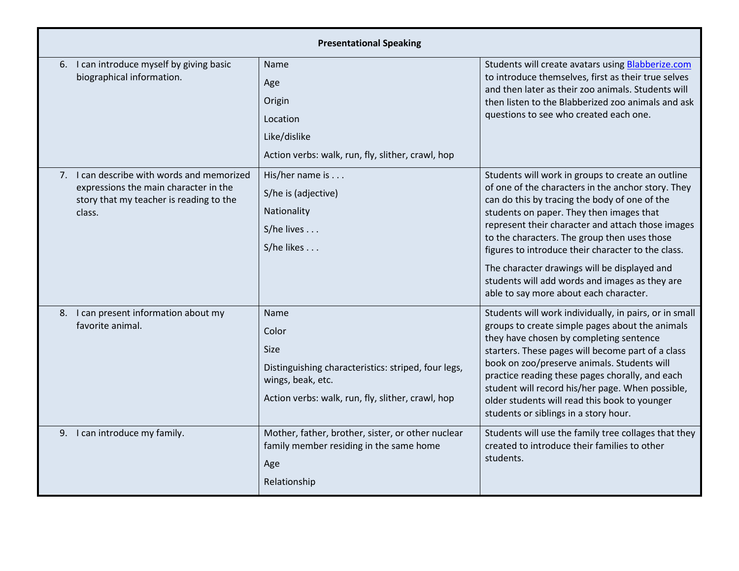| <b>Presentational Speaking</b>                                                                                                           |                                                                                                                                                               |                                                                                                                                                                                                                                                                                                                                                                                                                                                                                                             |  |  |  |
|------------------------------------------------------------------------------------------------------------------------------------------|---------------------------------------------------------------------------------------------------------------------------------------------------------------|-------------------------------------------------------------------------------------------------------------------------------------------------------------------------------------------------------------------------------------------------------------------------------------------------------------------------------------------------------------------------------------------------------------------------------------------------------------------------------------------------------------|--|--|--|
| 6. I can introduce myself by giving basic<br>biographical information.                                                                   | Name<br>Age<br>Origin<br>Location<br>Like/dislike<br>Action verbs: walk, run, fly, slither, crawl, hop                                                        | Students will create avatars using <b>Blabberize.com</b><br>to introduce themselves, first as their true selves<br>and then later as their zoo animals. Students will<br>then listen to the Blabberized zoo animals and ask<br>questions to see who created each one.                                                                                                                                                                                                                                       |  |  |  |
| 7. I can describe with words and memorized<br>expressions the main character in the<br>story that my teacher is reading to the<br>class. | His/her name is<br>S/he is (adjective)<br>Nationality<br>S/he lives<br>S/he likes                                                                             | Students will work in groups to create an outline<br>of one of the characters in the anchor story. They<br>can do this by tracing the body of one of the<br>students on paper. They then images that<br>represent their character and attach those images<br>to the characters. The group then uses those<br>figures to introduce their character to the class.<br>The character drawings will be displayed and<br>students will add words and images as they are<br>able to say more about each character. |  |  |  |
| 8. I can present information about my<br>favorite animal.                                                                                | Name<br>Color<br><b>Size</b><br>Distinguishing characteristics: striped, four legs,<br>wings, beak, etc.<br>Action verbs: walk, run, fly, slither, crawl, hop | Students will work individually, in pairs, or in small<br>groups to create simple pages about the animals<br>they have chosen by completing sentence<br>starters. These pages will become part of a class<br>book on zoo/preserve animals. Students will<br>practice reading these pages chorally, and each<br>student will record his/her page. When possible,<br>older students will read this book to younger<br>students or siblings in a story hour.                                                   |  |  |  |
| 9. I can introduce my family.                                                                                                            | Mother, father, brother, sister, or other nuclear<br>family member residing in the same home<br>Age<br>Relationship                                           | Students will use the family tree collages that they<br>created to introduce their families to other<br>students.                                                                                                                                                                                                                                                                                                                                                                                           |  |  |  |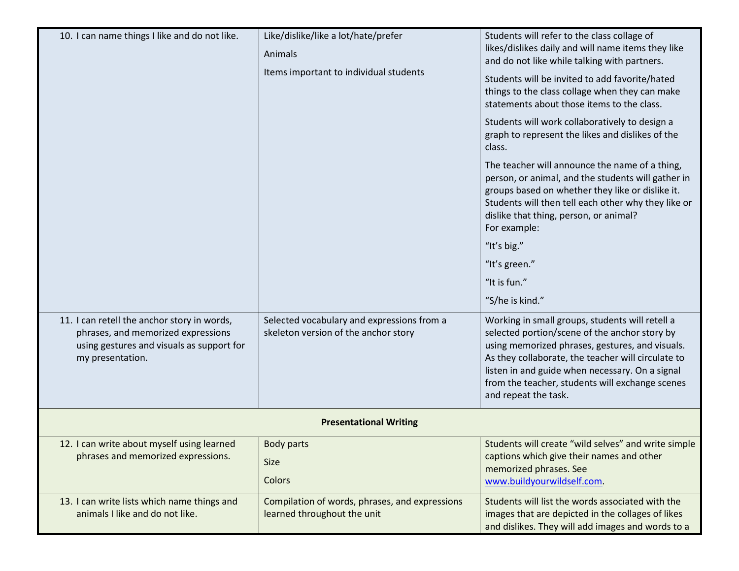| 10. I can name things I like and do not like.                                                                                                      | Like/dislike/like a lot/hate/prefer<br>Animals<br>Items important to individual students | Students will refer to the class collage of<br>likes/dislikes daily and will name items they like<br>and do not like while talking with partners.<br>Students will be invited to add favorite/hated<br>things to the class collage when they can make<br>statements about those items to the class.<br>Students will work collaboratively to design a<br>graph to represent the likes and dislikes of the<br>class.<br>The teacher will announce the name of a thing,<br>person, or animal, and the students will gather in<br>groups based on whether they like or dislike it.<br>Students will then tell each other why they like or<br>dislike that thing, person, or animal?<br>For example:<br>"It's big."<br>"It's green."<br>"It is fun."<br>"S/he is kind." |
|----------------------------------------------------------------------------------------------------------------------------------------------------|------------------------------------------------------------------------------------------|---------------------------------------------------------------------------------------------------------------------------------------------------------------------------------------------------------------------------------------------------------------------------------------------------------------------------------------------------------------------------------------------------------------------------------------------------------------------------------------------------------------------------------------------------------------------------------------------------------------------------------------------------------------------------------------------------------------------------------------------------------------------|
| 11. I can retell the anchor story in words,<br>phrases, and memorized expressions<br>using gestures and visuals as support for<br>my presentation. | Selected vocabulary and expressions from a<br>skeleton version of the anchor story       | Working in small groups, students will retell a<br>selected portion/scene of the anchor story by<br>using memorized phrases, gestures, and visuals.<br>As they collaborate, the teacher will circulate to<br>listen in and guide when necessary. On a signal<br>from the teacher, students will exchange scenes<br>and repeat the task.                                                                                                                                                                                                                                                                                                                                                                                                                             |
|                                                                                                                                                    | <b>Presentational Writing</b>                                                            |                                                                                                                                                                                                                                                                                                                                                                                                                                                                                                                                                                                                                                                                                                                                                                     |
| 12. I can write about myself using learned<br>phrases and memorized expressions.                                                                   | <b>Body parts</b><br><b>Size</b><br>Colors                                               | Students will create "wild selves" and write simple<br>captions which give their names and other<br>memorized phrases. See<br>www.buildyourwildself.com.                                                                                                                                                                                                                                                                                                                                                                                                                                                                                                                                                                                                            |
| 13. I can write lists which name things and<br>animals I like and do not like.                                                                     | Compilation of words, phrases, and expressions<br>learned throughout the unit            | Students will list the words associated with the<br>images that are depicted in the collages of likes<br>and dislikes. They will add images and words to a                                                                                                                                                                                                                                                                                                                                                                                                                                                                                                                                                                                                          |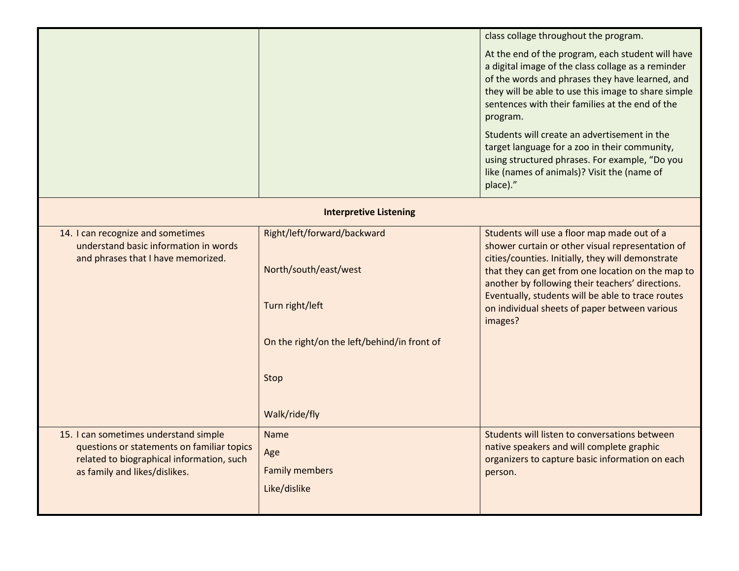|                                                                                                                                                                   |                                                                                                                                                 | class collage throughout the program.                                                                                                                                                                                                                                                                                                                                                                                                                                                          |
|-------------------------------------------------------------------------------------------------------------------------------------------------------------------|-------------------------------------------------------------------------------------------------------------------------------------------------|------------------------------------------------------------------------------------------------------------------------------------------------------------------------------------------------------------------------------------------------------------------------------------------------------------------------------------------------------------------------------------------------------------------------------------------------------------------------------------------------|
|                                                                                                                                                                   |                                                                                                                                                 | At the end of the program, each student will have<br>a digital image of the class collage as a reminder<br>of the words and phrases they have learned, and<br>they will be able to use this image to share simple<br>sentences with their families at the end of the<br>program.<br>Students will create an advertisement in the<br>target language for a zoo in their community,<br>using structured phrases. For example, "Do you<br>like (names of animals)? Visit the (name of<br>place)." |
|                                                                                                                                                                   | <b>Interpretive Listening</b>                                                                                                                   |                                                                                                                                                                                                                                                                                                                                                                                                                                                                                                |
| 14. I can recognize and sometimes<br>understand basic information in words<br>and phrases that I have memorized.                                                  | Right/left/forward/backward<br>North/south/east/west<br>Turn right/left<br>On the right/on the left/behind/in front of<br>Stop<br>Walk/ride/fly | Students will use a floor map made out of a<br>shower curtain or other visual representation of<br>cities/counties. Initially, they will demonstrate<br>that they can get from one location on the map to<br>another by following their teachers' directions.<br>Eventually, students will be able to trace routes<br>on individual sheets of paper between various<br>images?                                                                                                                 |
| 15. I can sometimes understand simple<br>questions or statements on familiar topics<br>related to biographical information, such<br>as family and likes/dislikes. | <b>Name</b><br>Age<br><b>Family members</b><br>Like/dislike                                                                                     | Students will listen to conversations between<br>native speakers and will complete graphic<br>organizers to capture basic information on each<br>person.                                                                                                                                                                                                                                                                                                                                       |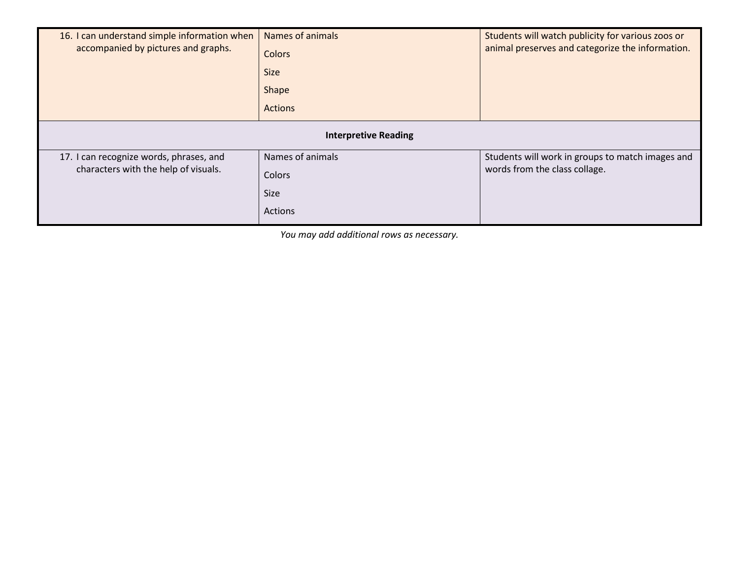| 16. I can understand simple information when<br>accompanied by pictures and graphs. | Names of animals<br>Colors<br><b>Size</b><br>Shape<br><b>Actions</b> | Students will watch publicity for various zoos or<br>animal preserves and categorize the information. |  |  |  |
|-------------------------------------------------------------------------------------|----------------------------------------------------------------------|-------------------------------------------------------------------------------------------------------|--|--|--|
| <b>Interpretive Reading</b>                                                         |                                                                      |                                                                                                       |  |  |  |
| 17. I can recognize words, phrases, and<br>characters with the help of visuals.     | Names of animals<br>Colors<br><b>Size</b><br>Actions                 | Students will work in groups to match images and<br>words from the class collage.                     |  |  |  |

You may add additional rows as necessary.